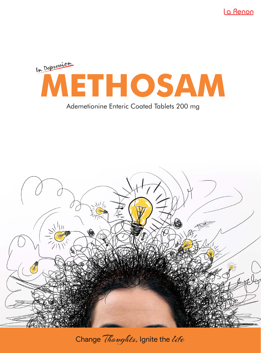La Renon



# Ademetionine Enteric Coated Tablets 200 mg



Change Thoughts, Ignite the life